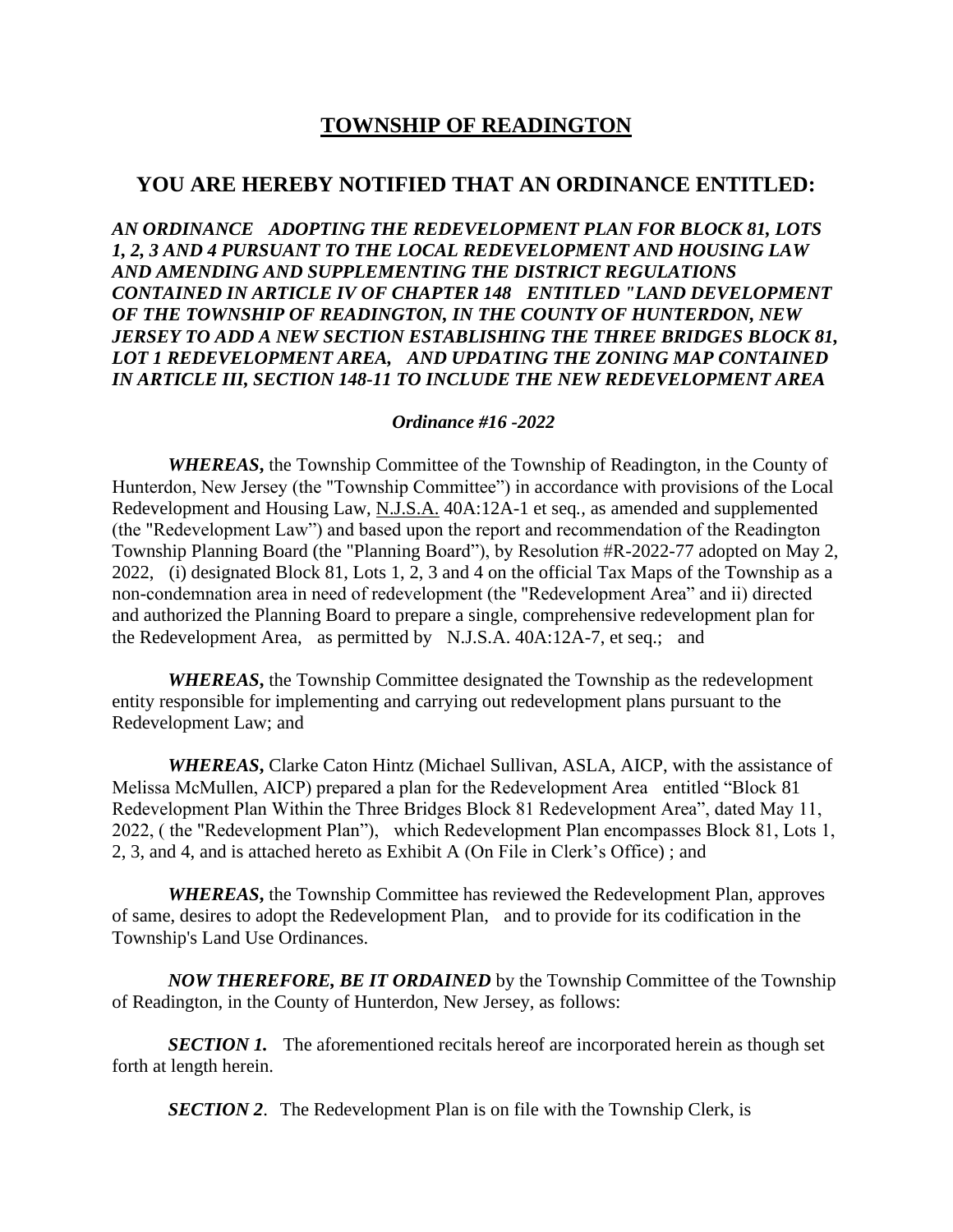## **TOWNSHIP OF READINGTON**

## **YOU ARE HEREBY NOTIFIED THAT AN ORDINANCE ENTITLED:**

*AN ORDINANCE ADOPTING THE REDEVELOPMENT PLAN FOR BLOCK 81, LOTS 1, 2, 3 AND 4 PURSUANT TO THE LOCAL REDEVELOPMENT AND HOUSING LAW AND AMENDING AND SUPPLEMENTING THE DISTRICT REGULATIONS CONTAINED IN ARTICLE IV OF CHAPTER 148 ENTITLED "LAND DEVELOPMENT OF THE TOWNSHIP OF READINGTON, IN THE COUNTY OF HUNTERDON, NEW JERSEY TO ADD A NEW SECTION ESTABLISHING THE THREE BRIDGES BLOCK 81, LOT 1 REDEVELOPMENT AREA, AND UPDATING THE ZONING MAP CONTAINED IN ARTICLE III, SECTION 148-11 TO INCLUDE THE NEW REDEVELOPMENT AREA*

## *Ordinance #16 -2022*

*WHEREAS***,** the Township Committee of the Township of Readington, in the County of Hunterdon, New Jersey (the "Township Committee") in accordance with provisions of the Local Redevelopment and Housing Law, N.J.S.A. 40A:12A-1 et seq*.,* as amended and supplemented (the "Redevelopment Law") and based upon the report and recommendation of the Readington Township Planning Board (the "Planning Board"), by Resolution #R-2022-77 adopted on May 2, 2022, (i) designated Block 81, Lots 1, 2, 3 and 4 on the official Tax Maps of the Township as a non-condemnation area in need of redevelopment (the "Redevelopment Area" and ii) directed and authorized the Planning Board to prepare a single, comprehensive redevelopment plan for the Redevelopment Area, as permitted by N.J.S.A. 40A:12A-7, et seq.; and

*WHEREAS***,** the Township Committee designated the Township as the redevelopment entity responsible for implementing and carrying out redevelopment plans pursuant to the Redevelopment Law; and

*WHEREAS***,** Clarke Caton Hintz (Michael Sullivan, ASLA, AICP, with the assistance of Melissa McMullen, AICP) prepared a plan for the Redevelopment Area entitled "Block 81 Redevelopment Plan Within the Three Bridges Block 81 Redevelopment Area", dated May 11, 2022, ( the "Redevelopment Plan"), which Redevelopment Plan encompasses Block 81, Lots 1, 2, 3, and 4, and is attached hereto as Exhibit A (On File in Clerk's Office) ; and

*WHEREAS***,** the Township Committee has reviewed the Redevelopment Plan, approves of same, desires to adopt the Redevelopment Plan, and to provide for its codification in the Township's Land Use Ordinances.

*NOW THEREFORE, BE IT ORDAINED* by the Township Committee of the Township of Readington, in the County of Hunterdon, New Jersey, as follows:

*SECTION 1.* The aforementioned recitals hereof are incorporated herein as though set forth at length herein.

*SECTION 2.* The Redevelopment Plan is on file with the Township Clerk, is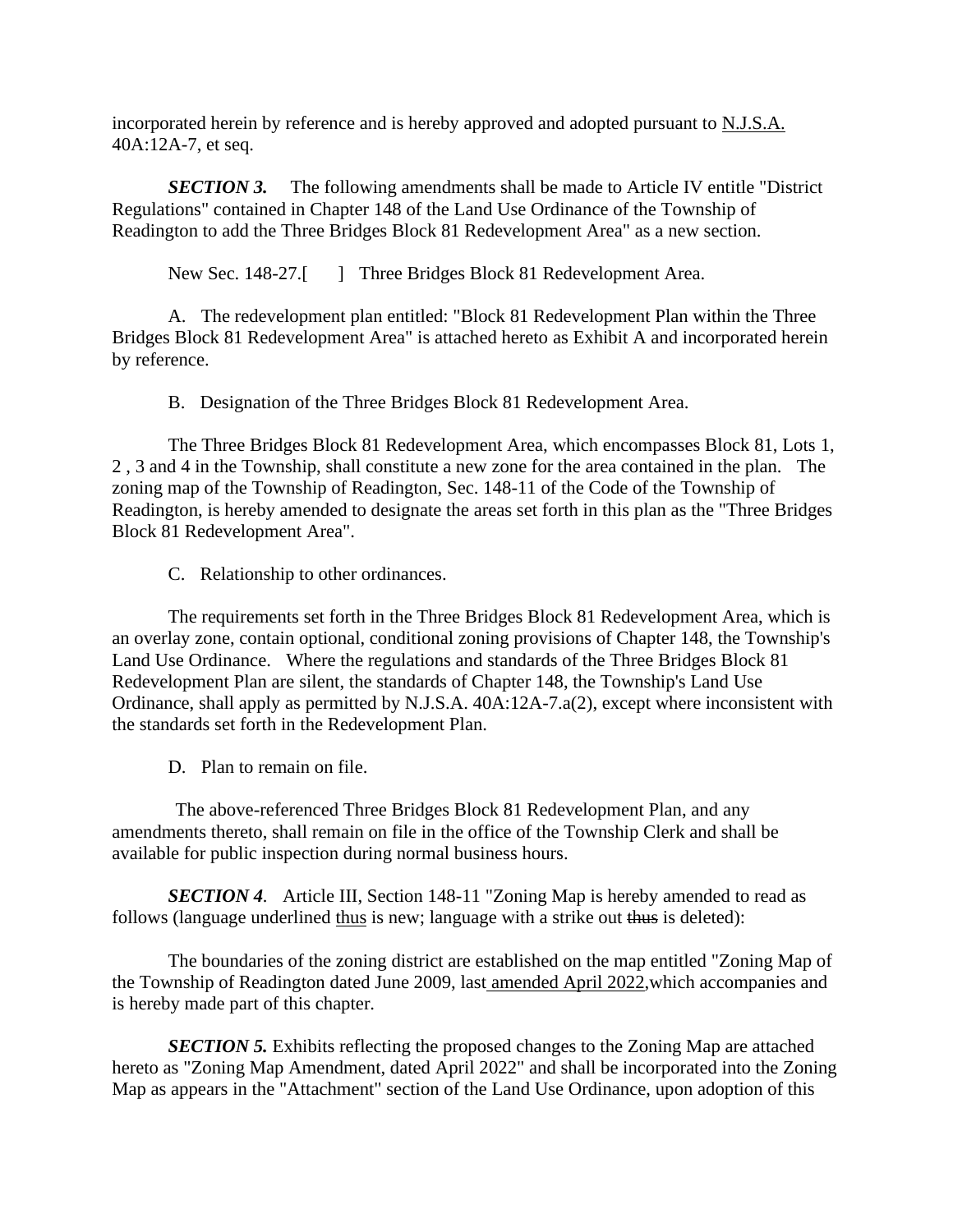incorporated herein by reference and is hereby approved and adopted pursuant to N.J.S.A. 40A:12A-7, et seq.

*SECTION 3.* The following amendments shall be made to Article IV entitle "District Regulations" contained in Chapter 148 of the Land Use Ordinance of the Township of Readington to add the Three Bridges Block 81 Redevelopment Area" as a new section.

New Sec. 148-27.<sup>[1]</sup> Three Bridges Block 81 Redevelopment Area.

A. The redevelopment plan entitled: "Block 81 Redevelopment Plan within the Three Bridges Block 81 Redevelopment Area" is attached hereto as Exhibit A and incorporated herein by reference.

B. Designation of the Three Bridges Block 81 Redevelopment Area.

The Three Bridges Block 81 Redevelopment Area, which encompasses Block 81, Lots 1, 2 , 3 and 4 in the Township, shall constitute a new zone for the area contained in the plan. The zoning map of the Township of Readington, Sec. 148-11 of the Code of the Township of Readington, is hereby amended to designate the areas set forth in this plan as the "Three Bridges Block 81 Redevelopment Area".

C. Relationship to other ordinances.

The requirements set forth in the Three Bridges Block 81 Redevelopment Area, which is an overlay zone, contain optional, conditional zoning provisions of Chapter 148, the Township's Land Use Ordinance. Where the regulations and standards of the Three Bridges Block 81 Redevelopment Plan are silent, the standards of Chapter 148, the Township's Land Use Ordinance, shall apply as permitted by N.J.S.A. 40A:12A-7.a(2), except where inconsistent with the standards set forth in the Redevelopment Plan.

D. Plan to remain on file.

The above-referenced Three Bridges Block 81 Redevelopment Plan, and any amendments thereto, shall remain on file in the office of the Township Clerk and shall be available for public inspection during normal business hours.

*SECTION 4.* Article III, Section 148-11 "Zoning Map is hereby amended to read as follows (language underlined thus is new; language with a strike out thus is deleted):

The boundaries of the zoning district are established on the map entitled "Zoning Map of the Township of Readington dated June 2009, last amended April 2022, which accompanies and is hereby made part of this chapter.

*SECTION 5.* Exhibits reflecting the proposed changes to the Zoning Map are attached hereto as "Zoning Map Amendment, dated April 2022" and shall be incorporated into the Zoning Map as appears in the "Attachment" section of the Land Use Ordinance, upon adoption of this